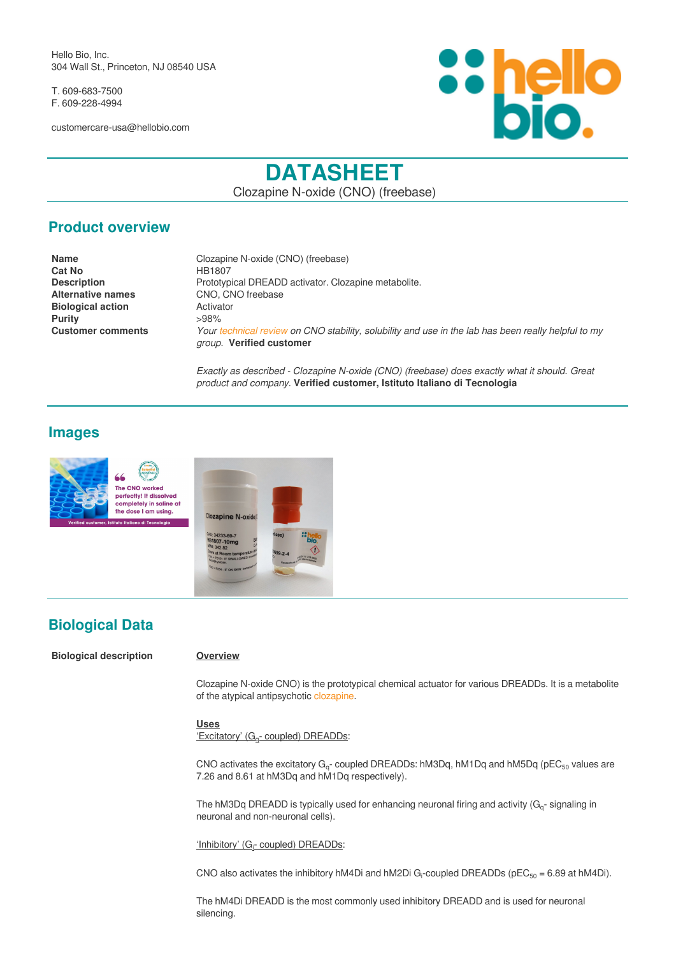Hello Bio, Inc. 304 Wall St., Princeton, NJ 08540 USA

T. 609-683-7500 F. 609-228-4994

customercare-usa@hellobio.com



# **DATASHEET**

Clozapine N-oxide (CNO) (freebase)

### **Product overview**

| <b>Name</b>              | Clozapine N-oxide (CNO) (freebase)                                                                                              |
|--------------------------|---------------------------------------------------------------------------------------------------------------------------------|
| Cat No                   | HB1807                                                                                                                          |
| <b>Description</b>       | Prototypical DREADD activator. Clozapine metabolite.                                                                            |
| <b>Alternative names</b> | CNO, CNO freebase                                                                                                               |
| <b>Biological action</b> | Activator                                                                                                                       |
| Purity                   | $>98\%$                                                                                                                         |
| <b>Customer comments</b> | Your technical review on CNO stability, solubility and use in the lab has been really helpful to my<br>group. Verified customer |

*Exactly as described - Clozapine N-oxide (CNO) (freebase) does exactly what it should. Great product and company.* **Verified customer, Istituto Italiano di Tecnologia**

### **Images**



### **Biological Data**

**Biological description Overview**

Clozapine N-oxide CNO) is the prototypical chemical actuator for various DREADDs. It is a metabolite of the atypical antipsychotic [clozapine.](https://hellobio.com/clozapine.html)

### **Uses**

'Excitatory' (G<sup>q</sup> - coupled) DREADDs:

CNO activates the excitatory G<sub>q</sub>- coupled DREADDs: hM3Dq, hM1Dq and hM5Dq (pEC<sub>50</sub> values are 7.26 and 8.61 at hM3Dq and hM1Dq respectively).

The hM3Dq DREADD is typically used for enhancing neuronal firing and activity ( $G<sub>q</sub>$ -signaling in neuronal and non-neuronal cells).

'Inhibitory' (G<sub>i</sub>- coupled) DREADDs:

CNO also activates the inhibitory hM4Di and hM2Di G<sub>i</sub>-coupled DREADDs (pEC<sub>50</sub> = 6.89 at hM4Di).

The hM4Di DREADD is the most commonly used inhibitory DREADD and is used for neuronal silencing.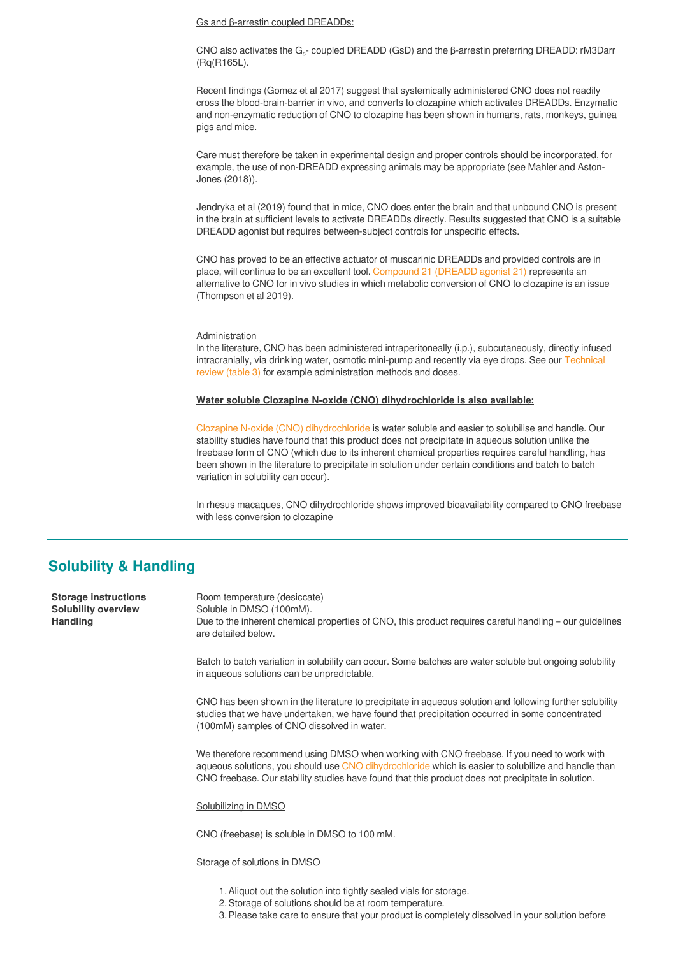Gs and β-arrestin coupled DREADDs:

CNO also activates the G<sub>s</sub>- coupled DREADD (GsD) and the β-arrestin preferring DREADD: rM3Darr (Rq(R165L).

Recent findings (Gomez et al 2017) suggest that systemically administered CNO does not readily cross the blood-brain-barrier in vivo, and converts to clozapine which activates DREADDs. Enzymatic and non-enzymatic reduction of CNO to clozapine has been shown in humans, rats, monkeys, guinea pigs and mice.

Care must therefore be taken in experimental design and proper controls should be incorporated, for example, the use of non-DREADD expressing animals may be appropriate (see Mahler and Aston-Jones (2018)).

Jendryka et al (2019) found that in mice, CNO does enter the brain and that unbound CNO is present in the brain at sufficient levels to activate DREADDs directly. Results suggested that CNO is a suitable DREADD agonist but requires between-subject controls for unspecific effects.

CNO has proved to be an effective actuator of muscarinic DREADDs and provided controls are in place, will continue to be an excellent tool. [Compound 21 \(DREADD agonist 21\)](https://hellobio.com/dreadd-agonist21-dihydrochloride.html) represents an alternative to CNO for in vivo studies in which metabolic conversion of CNO to clozapine is an issue (Thompson et al 2019).

#### Administration

In the literature, CNO has been administered intraperitoneally (i.p.), subcutaneously, directly infused intracranially, via drinking water, osmotic mini-pump and recently via eye drops. See our [Technical](https://hellobio.com/clozapine-n-oxide-stability-solubility-review/#dose.html) [review \(table 3\)](https://hellobio.com/clozapine-n-oxide-stability-solubility-review/#dose.html) for example administration methods and doses.

#### **Water soluble Clozapine N-oxide (CNO) dihydrochloride is also available:**

[Clozapine N-oxide \(CNO\) dihydrochloride](https://hellobio.com/clozapine-n-oxide-dihydrochloride.html) is water soluble and easier to solubilise and handle. Our stability studies have found that this product does not precipitate in aqueous solution unlike the freebase form of CNO (which due to its inherent chemical properties requires careful handling, has been shown in the literature to precipitate in solution under certain conditions and batch to batch variation in solubility can occur).

In rhesus macaques, CNO dihydrochloride shows improved bioavailability compared to CNO freebase with less conversion to clozapine

### **Solubility & Handling**

**Storage instructions** Room temperature (desiccate) **Solubility overview** Soluble in DMSO (100mM). **Handling** Due to the inherent chemical properties of CNO, this product requires careful handling – our guidelines are detailed below.

Batch to batch variation in solubility can occur. Some batches are water soluble but ongoing solubility in aqueous solutions can be unpredictable.

CNO has been shown in the literature to precipitate in aqueous solution and following further solubility studies that we have undertaken, we have found that precipitation occurred in some concentrated (100mM) samples of CNO dissolved in water.

We therefore recommend using DMSO when working with CNO freebase. If you need to work with aqueous solutions, you should use [CNO dihydrochloride](https://hellobio.com/clozapine-n-oxide-dihydrochloride.html) which is easier to solubilize and handle than CNO freebase. Our stability studies have found that this product does not precipitate in solution.

Solubilizing in DMSO

CNO (freebase) is soluble in DMSO to 100 mM.

Storage of solutions in DMSO

- 1.Aliquot out the solution into tightly sealed vials for storage.
- 2.Storage of solutions should be at room temperature.
- 3. Please take care to ensure that your product is completely dissolved in your solution before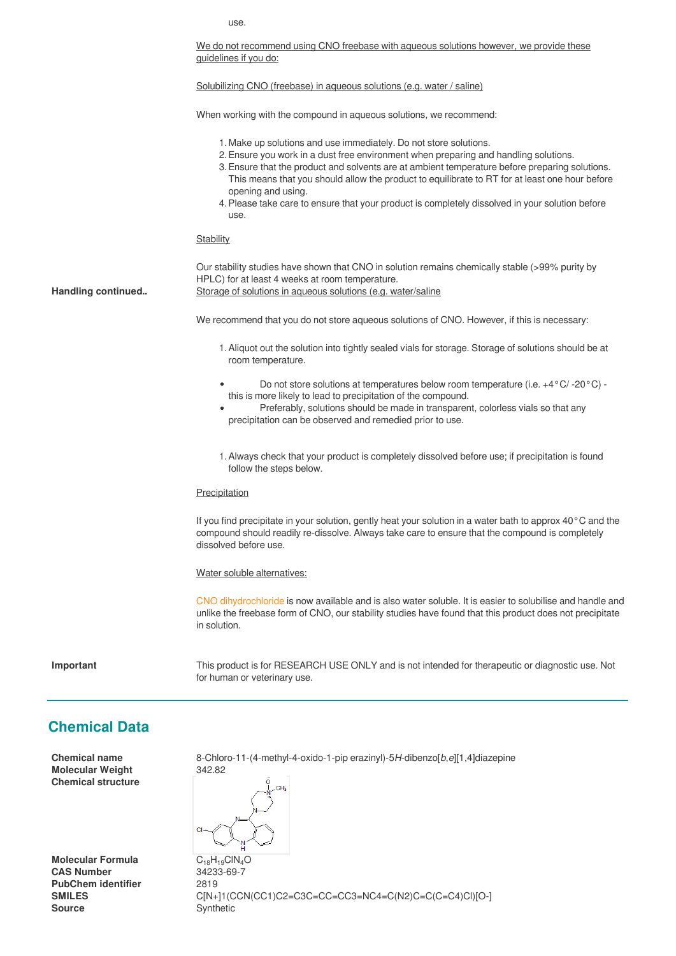use.

We do not recommend using CNO freebase with aqueous solutions however, we provide these guidelines if you do:

Solubilizing CNO (freebase) in aqueous solutions (e.g. water / saline)

When working with the compound in aqueous solutions, we recommend:

- 1. Make up solutions and use immediately. Do not store solutions.
- 2. Ensure you work in a dust free environment when preparing and handling solutions.
- 3. Ensure that the product and solvents are at ambient temperature before preparing solutions. This means that you should allow the product to equilibrate to RT for at least one hour before opening and using.
- 4. Please take care to ensure that your product is completely dissolved in your solution before use.

#### **Stability**

Our stability studies have shown that CNO in solution remains chemically stable (>99% purity by HPLC) for at least 4 weeks at room temperature.

**Handling continued..** Storage of solutions in aqueous solutions (e.g. water/saline

We recommend that you do not store aqueous solutions of CNO. However, if this is necessary:

- 1.Aliquot out the solution into tightly sealed vials for storage. Storage of solutions should be at room temperature.
- Do not store solutions at temperatures below room temperature (i.e. +4°C/ -20°C) this is more likely to lead to precipitation of the compound.
- Preferably, solutions should be made in transparent, colorless vials so that any precipitation can be observed and remedied prior to use.
- 1.Always check that your product is completely dissolved before use; if precipitation is found follow the steps below.

#### **Precipitation**

If you find precipitate in your solution, gently heat your solution in a water bath to approx 40°C and the compound should readily re-dissolve. Always take care to ensure that the compound is completely dissolved before use.

Water soluble alternatives:

[CNO dihydrochloride](https://hellobio.com/clozapine-n-oxide-dihydrochloride.html) is now available and is also water soluble. It is easier to solubilise and handle and unlike the freebase form of CNO, our stability studies have found that this product does not precipitate in solution.

**Important** This product is for RESEARCH USE ONLY and is not intended for therapeutic or diagnostic use. Not for human or veterinary use.

### **Chemical Data**

**Molecular Weight** 342.82 **Chemical structure**

**Molecular Formula** C<sub>18</sub>H<sub>19</sub>ClN<sub>4</sub>O<br>CAS Number 34233-69-7 **PubChem identifier** 2819 **Source** Synthetic

**Chemical name** 8-Chloro-11-(4-methyl-4-oxido-1-pip erazinyl)-5*H*-dibenzo[*b*,*e*][1,4]diazepine

**CAS Number** 34233-69-7 **SMILES** C[N+]1(CCN(CC1)C2=C3C=CC=CC3=NC4=C(N2)C=C(C=C4)Cl)[O-]